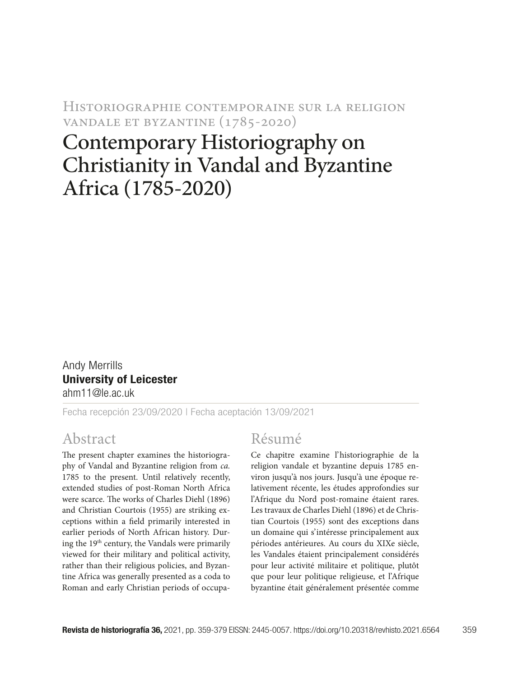Historiographie contemporaine sur la religion vandale et byzantine (1785-2020)

# Contemporary Historiography on Christianity in Vandal and Byzantine Africa (1785-2020)

Andy Merrills University of Leicester ahm11@le.ac.uk

Fecha recepción 23/09/2020 | Fecha aceptación 13/09/2021

## Abstract

The present chapter examines the historiography of Vandal and Byzantine religion from *ca.* 1785 to the present. Until relatively recently, extended studies of post-Roman North Africa were scarce. The works of Charles Diehl (1896) and Christian Courtois (1955) are striking exceptions within a field primarily interested in earlier periods of North African history. During the 19th century, the Vandals were primarily viewed for their military and political activity, rather than their religious policies, and Byzantine Africa was generally presented as a coda to Roman and early Christian periods of occupa-

## Résumé

Ce chapitre examine l'historiographie de la religion vandale et byzantine depuis 1785 environ jusqu'à nos jours. Jusqu'à une époque relativement récente, les études approfondies sur l'Afrique du Nord post-romaine étaient rares. Les travaux de Charles Diehl (1896) et de Christian Courtois (1955) sont des exceptions dans un domaine qui s'intéresse principalement aux périodes antérieures. Au cours du XIXe siècle, les Vandales étaient principalement considérés pour leur activité militaire et politique, plutôt que pour leur politique religieuse, et l'Afrique byzantine était généralement présentée comme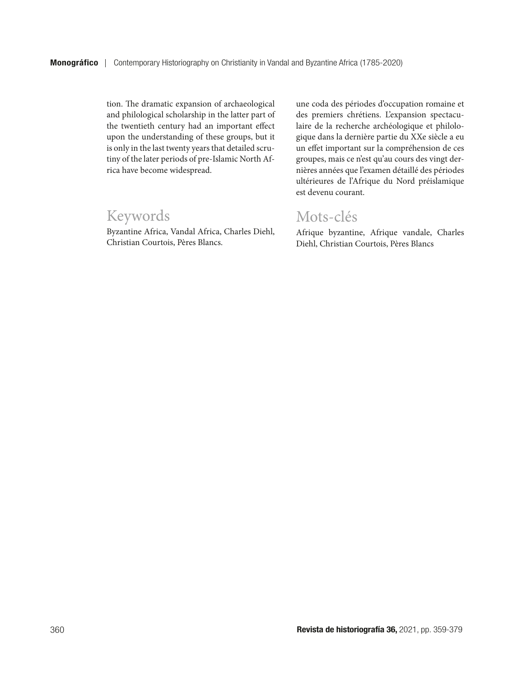tion. The dramatic expansion of archaeological and philological scholarship in the latter part of the twentieth century had an important effect upon the understanding of these groups, but it is only in the last twenty years that detailed scrutiny of the later periods of pre-Islamic North Africa have become widespread.

## Keywords

Byzantine Africa, Vandal Africa, Charles Diehl, Christian Courtois, Pères Blancs.

une coda des périodes d'occupation romaine et des premiers chrétiens. L'expansion spectaculaire de la recherche archéologique et philologique dans la dernière partie du XXe siècle a eu un effet important sur la compréhension de ces groupes, mais ce n'est qu'au cours des vingt dernières années que l'examen détaillé des périodes ultérieures de l'Afrique du Nord préislamique est devenu courant.

## Mots-clés

Afrique byzantine, Afrique vandale, Charles Diehl, Christian Courtois, Pères Blancs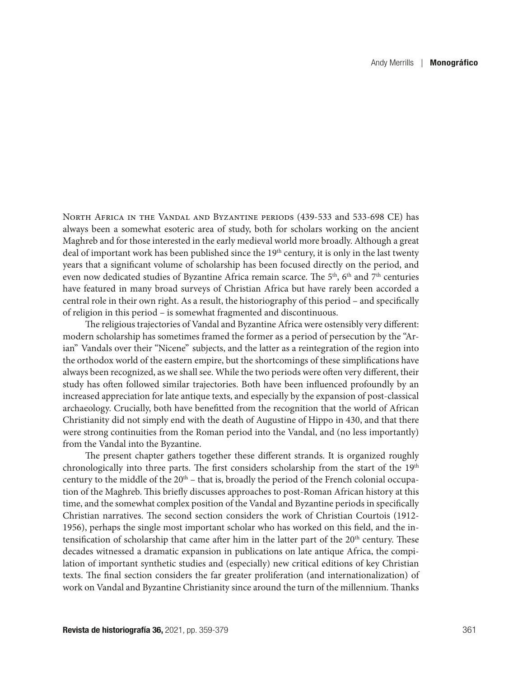North Africa in the Vandal and Byzantine periods (439-533 and 533-698 CE) has always been a somewhat esoteric area of study, both for scholars working on the ancient Maghreb and for those interested in the early medieval world more broadly. Although a great deal of important work has been published since the 19<sup>th</sup> century, it is only in the last twenty years that a significant volume of scholarship has been focused directly on the period, and even now dedicated studies of Byzantine Africa remain scarce. The  $5<sup>th</sup>$ ,  $6<sup>th</sup>$  and  $7<sup>th</sup>$  centuries have featured in many broad surveys of Christian Africa but have rarely been accorded a central role in their own right. As a result, the historiography of this period – and specifically of religion in this period – is somewhat fragmented and discontinuous.

The religious trajectories of Vandal and Byzantine Africa were ostensibly very different: modern scholarship has sometimes framed the former as a period of persecution by the "Arian" Vandals over their "Nicene" subjects, and the latter as a reintegration of the region into the orthodox world of the eastern empire, but the shortcomings of these simplifications have always been recognized, as we shall see. While the two periods were often very different, their study has often followed similar trajectories. Both have been influenced profoundly by an increased appreciation for late antique texts, and especially by the expansion of post-classical archaeology. Crucially, both have benefitted from the recognition that the world of African Christianity did not simply end with the death of Augustine of Hippo in 430, and that there were strong continuities from the Roman period into the Vandal, and (no less importantly) from the Vandal into the Byzantine.

The present chapter gathers together these different strands. It is organized roughly chronologically into three parts. The first considers scholarship from the start of the  $19<sup>th</sup>$ century to the middle of the  $20<sup>th</sup>$  – that is, broadly the period of the French colonial occupation of the Maghreb. This briefly discusses approaches to post-Roman African history at this time, and the somewhat complex position of the Vandal and Byzantine periods in specifically Christian narratives. The second section considers the work of Christian Courtois (1912- 1956), perhaps the single most important scholar who has worked on this field, and the intensification of scholarship that came after him in the latter part of the  $20<sup>th</sup>$  century. These decades witnessed a dramatic expansion in publications on late antique Africa, the compilation of important synthetic studies and (especially) new critical editions of key Christian texts. The final section considers the far greater proliferation (and internationalization) of work on Vandal and Byzantine Christianity since around the turn of the millennium. Thanks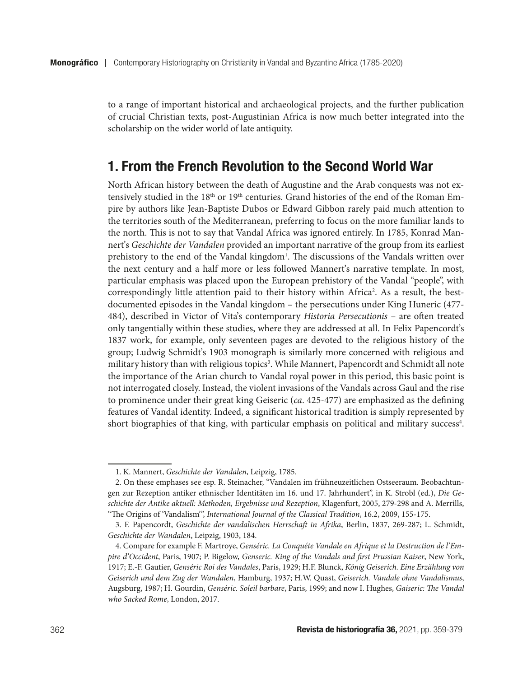to a range of important historical and archaeological projects, and the further publication of crucial Christian texts, post-Augustinian Africa is now much better integrated into the scholarship on the wider world of late antiquity.

## 1. From the French Revolution to the Second World War

North African history between the death of Augustine and the Arab conquests was not extensively studied in the 18<sup>th</sup> or 19<sup>th</sup> centuries. Grand histories of the end of the Roman Empire by authors like Jean-Baptiste Dubos or Edward Gibbon rarely paid much attention to the territories south of the Mediterranean, preferring to focus on the more familiar lands to the north. This is not to say that Vandal Africa was ignored entirely. In 1785, Konrad Mannert's *Geschichte der Vandalen* provided an important narrative of the group from its earliest prehistory to the end of the Vandal kingdom<sup>1</sup>. The discussions of the Vandals written over the next century and a half more or less followed Mannert's narrative template. In most, particular emphasis was placed upon the European prehistory of the Vandal "people", with correspondingly little attention paid to their history within Africa<sup>2</sup>. As a result, the bestdocumented episodes in the Vandal kingdom – the persecutions under King Huneric (477- 484), described in Victor of Vita's contemporary *Historia Persecutionis* – are often treated only tangentially within these studies, where they are addressed at all. In Felix Papencordt's 1837 work, for example, only seventeen pages are devoted to the religious history of the group; Ludwig Schmidt's 1903 monograph is similarly more concerned with religious and military history than with religious topics<sup>3</sup>. While Mannert, Papencordt and Schmidt all note the importance of the Arian church to Vandal royal power in this period, this basic point is not interrogated closely. Instead, the violent invasions of the Vandals across Gaul and the rise to prominence under their great king Geiseric (*ca*. 425-477) are emphasized as the defining features of Vandal identity. Indeed, a significant historical tradition is simply represented by short biographies of that king, with particular emphasis on political and military success<sup>4</sup>.

<sup>1.</sup> K. Mannert, *Geschichte der Vandalen*, Leipzig, 1785.

<sup>2.</sup> On these emphases see esp. R. Steinacher, "Vandalen im frühneuzeitlichen Ostseeraum. Beobachtungen zur Rezeption antiker ethnischer Identitäten im 16. und 17. Jahrhundert", in K. Strobl (ed.), *Die Geschichte der Antike aktuell: Methoden, Ergebnisse und Rezeption*, Klagenfurt, 2005, 279-298 and A. Merrills, "The Origins of 'Vandalism'", *International Journal of the Classical Tradition*, 16.2, 2009, 155-175.

<sup>3.</sup> F. Papencordt, *Geschichte der vandalischen Herrschaft in Afrika*, Berlin, 1837, 269-287; L. Schmidt, *Geschichte der Wandalen*, Leipzig, 1903, 184.

<sup>4.</sup> Compare for example F. Martroye, *Genséric. La Conquéte Vandale en Afrique et la Destruction de l'Empire d'Occident*, Paris, 1907; P. Bigelow, *Genseric. King of the Vandals and first Prussian Kaiser*, New York, 1917; E.-F. Gautier, *Genséric Roi des Vandales*, Paris, 1929; H.F. Blunck, *König Geiserich. Eine Erzählung von Geiserich und dem Zug der Wandalen*, Hamburg, 1937; H.W. Quast, *Geiserich. Vandale ohne Vandalismus*, Augsburg, 1987; H. Gourdin, *Genséric. Soleil barbare*, Paris, 1999; and now I. Hughes, *Gaiseric: The Vandal who Sacked Rome*, London, 2017.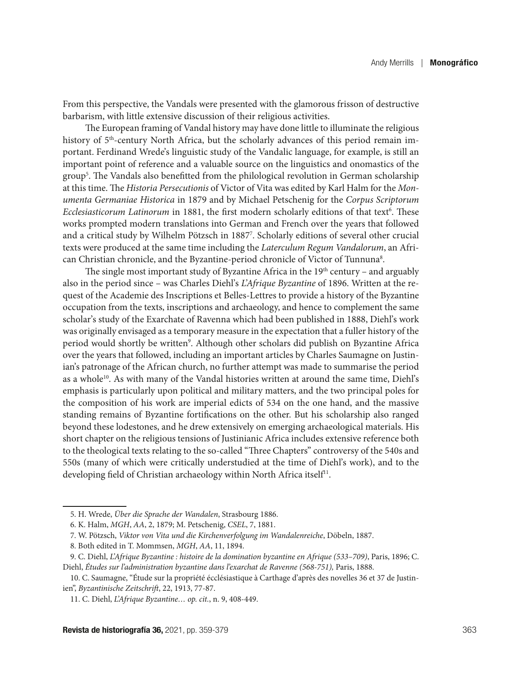From this perspective, the Vandals were presented with the glamorous frisson of destructive barbarism, with little extensive discussion of their religious activities.

The European framing of Vandal history may have done little to illuminate the religious history of 5<sup>th</sup>-century North Africa, but the scholarly advances of this period remain important. Ferdinand Wrede's linguistic study of the Vandalic language, for example, is still an important point of reference and a valuable source on the linguistics and onomastics of the group5 . The Vandals also benefitted from the philological revolution in German scholarship at this time. The *Historia Persecutionis* of Victor of Vita was edited by Karl Halm for the *Monumenta Germaniae Historica* in 1879 and by Michael Petschenig for the *Corpus Scriptorum*  Ecclesiasticorum Latinorum in 1881, the first modern scholarly editions of that text<sup>6</sup>. These works prompted modern translations into German and French over the years that followed and a critical study by Wilhelm Pötzsch in 18877 . Scholarly editions of several other crucial texts were produced at the same time including the *Laterculum Regum Vandalorum*, an African Christian chronicle, and the Byzantine-period chronicle of Victor of Tunnuna<sup>8</sup>.

The single most important study of Byzantine Africa in the  $19<sup>th</sup>$  century – and arguably also in the period since – was Charles Diehl's *L'Afrique Byzantine* of 1896. Written at the request of the Academie des Inscriptions et Belles-Lettres to provide a history of the Byzantine occupation from the texts, inscriptions and archaeology, and hence to complement the same scholar's study of the Exarchate of Ravenna which had been published in 1888, Diehl's work was originally envisaged as a temporary measure in the expectation that a fuller history of the period would shortly be written<sup>9</sup>. Although other scholars did publish on Byzantine Africa over the years that followed, including an important articles by Charles Saumagne on Justinian's patronage of the African church, no further attempt was made to summarise the period as a whole<sup>10</sup>. As with many of the Vandal histories written at around the same time, Diehl's emphasis is particularly upon political and military matters, and the two principal poles for the composition of his work are imperial edicts of 534 on the one hand, and the massive standing remains of Byzantine fortifications on the other. But his scholarship also ranged beyond these lodestones, and he drew extensively on emerging archaeological materials. His short chapter on the religious tensions of Justinianic Africa includes extensive reference both to the theological texts relating to the so-called "Three Chapters" controversy of the 540s and 550s (many of which were critically understudied at the time of Diehl's work), and to the developing field of Christian archaeology within North Africa itself<sup>11</sup>.

<sup>5.</sup> H. Wrede, *Über die Sprache der Wandalen*, Strasbourg 1886.

<sup>6.</sup> K. Halm, *MGH*, *AA*, 2, 1879; M. Petschenig, *CSEL*, 7, 1881.

<sup>7.</sup> W. Pötzsch, *Viktor von Vita und die Kirchenverfolgung im Wandalenreiche*, Döbeln, 1887.

<sup>8.</sup> Both edited in T. Mommsen, *MGH*, *AA*, 11, 1894.

<sup>9.</sup> C. Diehl, *L'Afrique Byzantine : histoire de la domination byzantine en Afrique (533–709)*, Paris, 1896; C. Diehl, *Études sur l'administration byzantine dans l'exarchat de Ravenne (568-751),* Paris, 1888.

<sup>10.</sup> C. Saumagne, "Étude sur la propriété écclésiastique à Carthage d'après des novelles 36 et 37 de Justinien", *Byzantinische Zeitschrift*, 22, 1913, 77-87.

<sup>11.</sup> C. Diehl, *L'Afrique Byzantine… op. cit.*, n. 9, 408-449.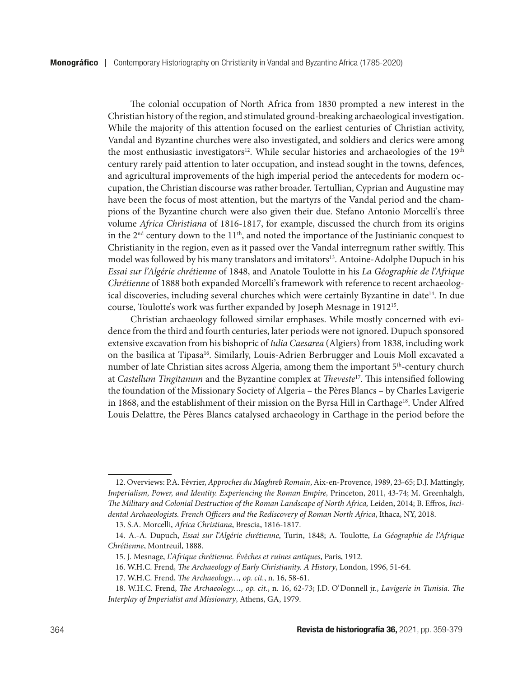The colonial occupation of North Africa from 1830 prompted a new interest in the Christian history of the region, and stimulated ground-breaking archaeological investigation. While the majority of this attention focused on the earliest centuries of Christian activity, Vandal and Byzantine churches were also investigated, and soldiers and clerics were among the most enthusiastic investigators<sup>12</sup>. While secular histories and archaeologies of the 19<sup>th</sup> century rarely paid attention to later occupation, and instead sought in the towns, defences, and agricultural improvements of the high imperial period the antecedents for modern occupation, the Christian discourse was rather broader. Tertullian, Cyprian and Augustine may have been the focus of most attention, but the martyrs of the Vandal period and the champions of the Byzantine church were also given their due. Stefano Antonio Morcelli's three volume *Africa Christiana* of 1816-1817, for example, discussed the church from its origins in the  $2<sup>nd</sup>$  century down to the  $11<sup>th</sup>$ , and noted the importance of the Justinianic conquest to Christianity in the region, even as it passed over the Vandal interregnum rather swiftly. This model was followed by his many translators and imitators<sup>13</sup>. Antoine-Adolphe Dupuch in his *Essai sur l'Algérie chrétienne* of 1848, and Anatole Toulotte in his *La Géographie de l'Afrique Chrétienne* of 1888 both expanded Morcelli's framework with reference to recent archaeological discoveries, including several churches which were certainly Byzantine in date14. In due course, Toulotte's work was further expanded by Joseph Mesnage in 191215.

Christian archaeology followed similar emphases. While mostly concerned with evidence from the third and fourth centuries, later periods were not ignored. Dupuch sponsored extensive excavation from his bishopric of *Iulia Caesarea* (Algiers) from 1838, including work on the basilica at Tipasa16. Similarly, Louis-Adrien Berbrugger and Louis Moll excavated a number of late Christian sites across Algeria, among them the important  $5<sup>th</sup>$ -century church at *Castellum Tingitanum* and the Byzantine complex at *Theveste*17. This intensified following the foundation of the Missionary Society of Algeria – the Pères Blancs – by Charles Lavigerie in 1868, and the establishment of their mission on the Byrsa Hill in Carthage<sup>18</sup>. Under Alfred Louis Delattre, the Pères Blancs catalysed archaeology in Carthage in the period before the

<sup>12.</sup> Overviews: P.A. Février, *Approches du Maghreb Romain*, Aix-en-Provence, 1989, 23-65; D.J. Mattingly, *Imperialism, Power, and Identity. Experiencing the Roman Empire,* Princeton, 2011, 43-74; M. Greenhalgh, *The Military and Colonial Destruction of the Roman Landscape of North Africa,* Leiden, 2014; B. Effros, *Incidental Archaeologists. French Officers and the Rediscovery of Roman North Africa*, Ithaca, NY, 2018.

<sup>13.</sup> S.A. Morcelli, *Africa Christiana*, Brescia, 1816-1817.

<sup>14.</sup> A.-A. Dupuch, *Essai sur l'Algérie chrétienne*, Turin, 1848; A. Toulotte, *La Géographie de l'Afrique Chrétienne*, Montreuil, 1888.

<sup>15.</sup> J. Mesnage, *L'Afrique chrétienne. Évêches et ruines antiques*, Paris, 1912.

<sup>16.</sup> W.H.C. Frend, *The Archaeology of Early Christianity. A History*, London, 1996, 51-64.

<sup>17.</sup> W.H.C. Frend, *The Archaeology…, op. cit.*, n. 16, 58-61.

<sup>18.</sup> W.H.C. Frend, *The Archaeology…, op. cit.*, n. 16, 62-73; J.D. O'Donnell jr., *Lavigerie in Tunisia. The Interplay of Imperialist and Missionary*, Athens, GA, 1979.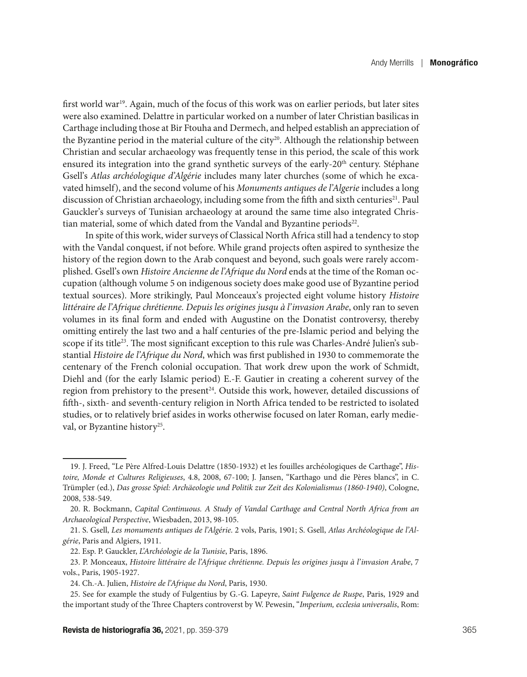first world war<sup>19</sup>. Again, much of the focus of this work was on earlier periods, but later sites were also examined. Delattre in particular worked on a number of later Christian basilicas in Carthage including those at Bir Ftouha and Dermech, and helped establish an appreciation of the Byzantine period in the material culture of the city<sup>20</sup>. Although the relationship between Christian and secular archaeology was frequently tense in this period, the scale of this work ensured its integration into the grand synthetic surveys of the early-20<sup>th</sup> century. Stéphane Gsell's *Atlas archéologique d'Algérie* includes many later churches (some of which he excavated himself), and the second volume of his *Monuments antiques de l'Algerie* includes a long discussion of Christian archaeology, including some from the fifth and sixth centuries<sup>21</sup>. Paul Gauckler's surveys of Tunisian archaeology at around the same time also integrated Christian material, some of which dated from the Vandal and Byzantine periods<sup>22</sup>.

In spite of this work, wider surveys of Classical North Africa still had a tendency to stop with the Vandal conquest, if not before. While grand projects often aspired to synthesize the history of the region down to the Arab conquest and beyond, such goals were rarely accomplished. Gsell's own *Histoire Ancienne de l'Afrique du Nord* ends at the time of the Roman occupation (although volume 5 on indigenous society does make good use of Byzantine period textual sources). More strikingly, Paul Monceaux's projected eight volume history *Histoire littéraire de l'Afrique chrétienne. Depuis les origines jusqu à l'invasion Arabe*, only ran to seven volumes in its final form and ended with Augustine on the Donatist controversy, thereby omitting entirely the last two and a half centuries of the pre-Islamic period and belying the scope if its title<sup>23</sup>. The most significant exception to this rule was Charles-André Julien's substantial *Histoire de l'Afrique du Nord*, which was first published in 1930 to commemorate the centenary of the French colonial occupation. That work drew upon the work of Schmidt, Diehl and (for the early Islamic period) E.-F. Gautier in creating a coherent survey of the region from prehistory to the present<sup>24</sup>. Outside this work, however, detailed discussions of fifth-, sixth- and seventh-century religion in North Africa tended to be restricted to isolated studies, or to relatively brief asides in works otherwise focused on later Roman, early medieval, or Byzantine history<sup>25</sup>.

<sup>19.</sup> J. Freed, "Le Père Alfred-Louis Delattre (1850-1932) et les fouilles archéologiques de Carthage", *Histoire, Monde et Cultures Religieuses*, 4.8, 2008, 67-100; J. Jansen, "Karthago und die Pères blancs", in C. Trümpler (ed.), *Das grosse Spiel: Archäeologie und Politik zur Zeit des Kolonialismus (1860-1940)*, Cologne, 2008, 538-549.

<sup>20.</sup> R. Bockmann, *Capital Continuous. A Study of Vandal Carthage and Central North Africa from an Archaeological Perspective*, Wiesbaden, 2013, 98-105.

<sup>21.</sup> S. Gsell, *Les monuments antiques de l'Algérie*. 2 vols, Paris, 1901; S. Gsell, *Atlas Archéologique de l'Algérie*, Paris and Algiers, 1911.

<sup>22.</sup> Esp. P. Gauckler, *L'Archéologie de la Tunisie*, Paris, 1896.

<sup>23.</sup> P. Monceaux, *Histoire littéraire de l'Afrique chrétienne. Depuis les origines jusqu à l'invasion Arabe*, 7 vols., Paris, 1905-1927.

<sup>24.</sup> Ch.-A. Julien, *Histoire de l'Afrique du Nord*, Paris, 1930.

<sup>25.</sup> See for example the study of Fulgentius by G.-G. Lapeyre, *Saint Fulgence de Ruspe*, Paris, 1929 and the important study of the Three Chapters controverst by W. Pewesin, "*Imperium, ecclesia universalis*, Rom: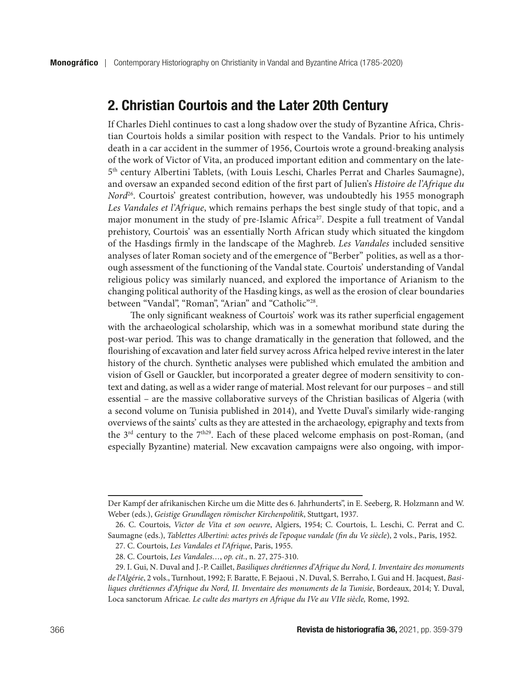## 2. Christian Courtois and the Later 20th Century

If Charles Diehl continues to cast a long shadow over the study of Byzantine Africa, Christian Courtois holds a similar position with respect to the Vandals. Prior to his untimely death in a car accident in the summer of 1956, Courtois wrote a ground-breaking analysis of the work of Victor of Vita, an produced important edition and commentary on the late-5th century Albertini Tablets, (with Louis Leschi, Charles Perrat and Charles Saumagne), and oversaw an expanded second edition of the first part of Julien's *Histoire de l'Afrique du Nord*<sup>26</sup>. Courtois' greatest contribution, however, was undoubtedly his 1955 monograph *Les Vandales et l'Afrique*, which remains perhaps the best single study of that topic, and a major monument in the study of pre-Islamic Africa<sup>27</sup>. Despite a full treatment of Vandal prehistory, Courtois' was an essentially North African study which situated the kingdom of the Hasdings firmly in the landscape of the Maghreb. *Les Vandales* included sensitive analyses of later Roman society and of the emergence of "Berber" polities, as well as a thorough assessment of the functioning of the Vandal state. Courtois' understanding of Vandal religious policy was similarly nuanced, and explored the importance of Arianism to the changing political authority of the Hasding kings, as well as the erosion of clear boundaries between "Vandal", "Roman", "Arian" and "Catholic"<sup>28</sup>.

The only significant weakness of Courtois' work was its rather superficial engagement with the archaeological scholarship, which was in a somewhat moribund state during the post-war period. This was to change dramatically in the generation that followed, and the flourishing of excavation and later field survey across Africa helped revive interest in the later history of the church. Synthetic analyses were published which emulated the ambition and vision of Gsell or Gauckler, but incorporated a greater degree of modern sensitivity to context and dating, as well as a wider range of material. Most relevant for our purposes – and still essential – are the massive collaborative surveys of the Christian basilicas of Algeria (with a second volume on Tunisia published in 2014), and Yvette Duval's similarly wide-ranging overviews of the saints' cults as they are attested in the archaeology, epigraphy and texts from the  $3<sup>rd</sup>$  century to the  $7<sup>th29</sup>$ . Each of these placed welcome emphasis on post-Roman, (and especially Byzantine) material. New excavation campaigns were also ongoing, with impor-

Der Kampf der afrikanischen Kirche um die Mitte des 6. Jahrhunderts", in E. Seeberg, R. Holzmann and W. Weber (eds.), *Geistige Grundlagen römischer Kirchenpolitik*, Stuttgart, 1937.

<sup>26.</sup> C. Courtois, *Victor de Vita et son oeuvre*, Algiers, 1954; C. Courtois, L. Leschi, C. Perrat and C. Saumagne (eds.), *Tablettes Albertini: actes privés de l'epoque vandale (fin du Ve siècle*), 2 vols., Paris, 1952.

<sup>27.</sup> C. Courtois, *Les Vandales et l'Afrique*, Paris, 1955.

<sup>28.</sup> C. Courtois, *Les Vandales…*, *op. cit.*, n. 27, 275-310.

<sup>29.</sup> I. Gui, N. Duval and J.-P. Caillet, *Basiliques chrétiennes d'Afrique du Nord, I. Inventaire des monuments de l'Algérie*, 2 vols., Turnhout, 1992; F. Baratte, F. Bejaoui , N. Duval, S. Berraho, I. Gui and H. Jacquest, *Basiliques chrétiennes d'Afrique du Nord, II. Inventaire des monuments de la Tunisie*, Bordeaux, 2014; Y. Duval, Loca sanctorum Africae*. Le culte des martyrs en Afrique du IVe au VIIe siècle,* Rome, 1992.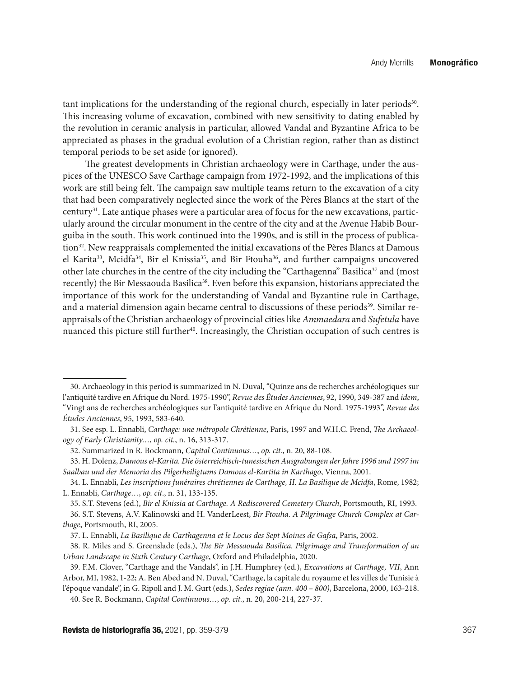tant implications for the understanding of the regional church, especially in later periods $30$ . This increasing volume of excavation, combined with new sensitivity to dating enabled by the revolution in ceramic analysis in particular, allowed Vandal and Byzantine Africa to be appreciated as phases in the gradual evolution of a Christian region, rather than as distinct temporal periods to be set aside (or ignored).

The greatest developments in Christian archaeology were in Carthage, under the auspices of the UNESCO Save Carthage campaign from 1972-1992, and the implications of this work are still being felt. The campaign saw multiple teams return to the excavation of a city that had been comparatively neglected since the work of the Pères Blancs at the start of the century<sup>31</sup>. Late antique phases were a particular area of focus for the new excavations, particularly around the circular monument in the centre of the city and at the Avenue Habib Bourguiba in the south. This work continued into the 1990s, and is still in the process of publication<sup>32</sup>. New reappraisals complemented the initial excavations of the Pères Blancs at Damous el Karita<sup>33</sup>, Mcidfa<sup>34</sup>, Bir el Knissia<sup>35</sup>, and Bir Ftouha<sup>36</sup>, and further campaigns uncovered other late churches in the centre of the city including the "Carthagenna" Basilica<sup>37</sup> and (most recently) the Bir Messaouda Basilica<sup>38</sup>. Even before this expansion, historians appreciated the importance of this work for the understanding of Vandal and Byzantine rule in Carthage, and a material dimension again became central to discussions of these periods<sup>39</sup>. Similar reappraisals of the Christian archaeology of provincial cities like *Ammaedara* and *Sufetula* have nuanced this picture still further<sup>40</sup>. Increasingly, the Christian occupation of such centres is

<sup>30.</sup> Archaeology in this period is summarized in N. Duval, "Quinze ans de recherches archéologiques sur l'antiquité tardive en Afrique du Nord. 1975-1990", *Revue des Études Anciennes*, 92, 1990, 349-387 and *idem*, "Vingt ans de recherches archéologiques sur l'antiquité tardive en Afrique du Nord. 1975-1993", *Revue des Études Anciennes*, 95, 1993, 583-640.

<sup>31.</sup> See esp. L. Ennabli, *Carthage: une métropole Chrétienne*, Paris, 1997 and W.H.C. Frend, *The Archaeology of Early Christianity…*, *op. cit.*, n. 16, 313-317.

<sup>32.</sup> Summarized in R. Bockmann, *Capital Continuous…*, *op. cit.*, n. 20, 88-108.

<sup>33.</sup> H. Dolenz, *Damous el-Karita. Die österreichisch-tunesischen Ausgrabungen der Jahre 1996 und 1997 im Saalbau und der Memoria des Pilgerheiligtums Damous el-Kartita in Karthago*, Vienna, 2001.

<sup>34.</sup> L. Ennabli, *Les inscriptions funéraires chrétiennes de Carthage, II. La Basilique de Mcidfa*, Rome, 1982; L. Ennabli, *Carthage…*, *op. cit*., n. 31, 133-135.

<sup>35.</sup> S.T. Stevens (ed.), *Bir el Knissia at Carthage. A Rediscovered Cemetery Church*, Portsmouth, RI, 1993.

<sup>36.</sup> S.T. Stevens, A.V. Kalinowski and H. VanderLeest, *Bir Ftouha. A Pilgrimage Church Complex at Carthage*, Portsmouth, RI, 2005.

<sup>37.</sup> L. Ennabli, *La Basilique de Carthagenna et le Locus des Sept Moines de Gafsa*, Paris, 2002.

<sup>38.</sup> R. Miles and S. Greenslade (eds.), *The Bir Messaouda Basilica. Pilgrimage and Transformation of an Urban Landscape in Sixth Century Carthage*, Oxford and Philadelphia, 2020.

<sup>39.</sup> F.M. Clover, "Carthage and the Vandals", in J.H. Humphrey (ed.), *Excavations at Carthage, VII*, Ann Arbor, MI, 1982, 1-22; A. Ben Abed and N. Duval, "Carthage, la capitale du royaume et les villes de Tunisie à

l'époque vandale", in G. Ripoll and J. M. Gurt (eds.), *Sedes regiae (ann. 400 – 800)*, Barcelona, 2000, 163-218.

<sup>40.</sup> See R. Bockmann, *Capital Continuous…*, *op. cit.*, n. 20, 200-214, 227-37.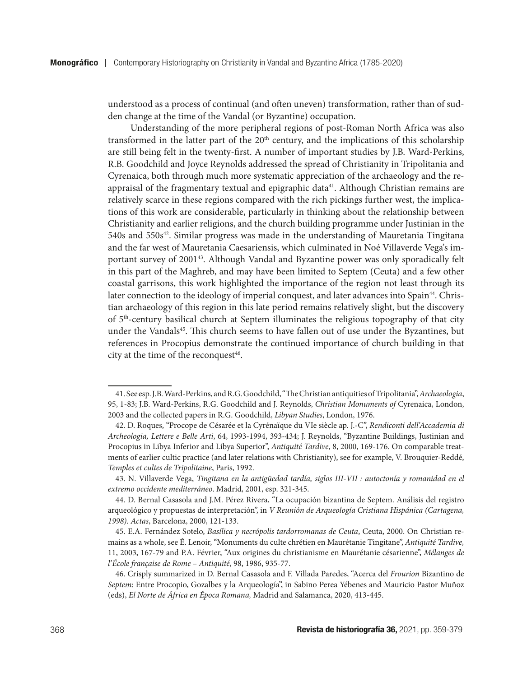understood as a process of continual (and often uneven) transformation, rather than of sudden change at the time of the Vandal (or Byzantine) occupation.

Understanding of the more peripheral regions of post-Roman North Africa was also transformed in the latter part of the  $20<sup>th</sup>$  century, and the implications of this scholarship are still being felt in the twenty-first. A number of important studies by J.B. Ward-Perkins, R.B. Goodchild and Joyce Reynolds addressed the spread of Christianity in Tripolitania and Cyrenaica, both through much more systematic appreciation of the archaeology and the reappraisal of the fragmentary textual and epigraphic data<sup>41</sup>. Although Christian remains are relatively scarce in these regions compared with the rich pickings further west, the implications of this work are considerable, particularly in thinking about the relationship between Christianity and earlier religions, and the church building programme under Justinian in the 540s and 550s<sup>42</sup>. Similar progress was made in the understanding of Mauretania Tingitana and the far west of Mauretania Caesariensis, which culminated in Noé Villaverde Vega's important survey of 200143. Although Vandal and Byzantine power was only sporadically felt in this part of the Maghreb, and may have been limited to Septem (Ceuta) and a few other coastal garrisons, this work highlighted the importance of the region not least through its later connection to the ideology of imperial conquest, and later advances into Spain<sup>44</sup>. Christian archaeology of this region in this late period remains relatively slight, but the discovery of 5th-century basilical church at Septem illuminates the religious topography of that city under the Vandals<sup>45</sup>. This church seems to have fallen out of use under the Byzantines, but references in Procopius demonstrate the continued importance of church building in that city at the time of the reconquest<sup>46</sup>.

<sup>41.</sup> See esp. J.B. Ward-Perkins, and R.G. Goodchild, "The Christian antiquities of Tripolitania", *Archaeologia*, 95, 1-83; J.B. Ward-Perkins, R.G. Goodchild and J. Reynolds, *Christian Monuments of* Cyrenaica, London, 2003 and the collected papers in R.G. Goodchild, *Libyan Studies*, London, 1976.

<sup>42.</sup> D. Roques, "Procope de Césarée et la Cyrénaïque du VIe siècle ap. J.-C", *Rendiconti dell'Accademia di Archeologia, Lettere e Belle Arti*, 64, 1993-1994, 393-434; J. Reynolds, "Byzantine Buildings, Justinian and Procopius in Libya Inferior and Libya Superior", *Antiquité Tardive*, 8, 2000, 169-176. On comparable treatments of earlier cultic practice (and later relations with Christianity), see for example, V. Brouquier-Reddé, *Temples et cultes de Tripolitaine*, Paris, 1992.

<sup>43.</sup> N. Villaverde Vega, *Tingitana en la antigüedad tardía, siglos III-VII : autoctonía y romanidad en el extremo occidente mediterráneo*. Madrid, 2001, esp. 321-345.

<sup>44.</sup> D. Bernal Casasola and J.M. Pérez Rivera, "La ocupación bizantina de Septem. Análisis del registro arqueológico y propuestas de interpretación", in *V Reunión de Arqueología Cristiana Hispánica (Cartagena, 1998). Actas*, Barcelona, 2000, 121-133.

<sup>45.</sup> E.A. Fernández Sotelo, *Basílica y necrópolis tardorromanas de Ceuta*, Ceuta, 2000. On Christian remains as a whole, see É. Lenoir, "Monuments du culte chrétien en Maurétanie Tingitane", *Antiquité Tardive,* 11, 2003, 167-79 and P.A. Février, "Aux origines du christianisme en Maurétanie césarienne", *Mélanges de l'École française de Rome – Antiquité*, 98, 1986, 935-77.

<sup>46.</sup> Crisply summarized in D. Bernal Casasola and F. Villada Paredes, "Acerca del *Frourion* Bizantino de *Septem*: Entre Procopio, Gozalbes y la Arqueología", in Sabino Perea Yébenes and Mauricio Pastor Muñoz (eds), *El Norte de África en Época Romana,* Madrid and Salamanca, 2020, 413-445.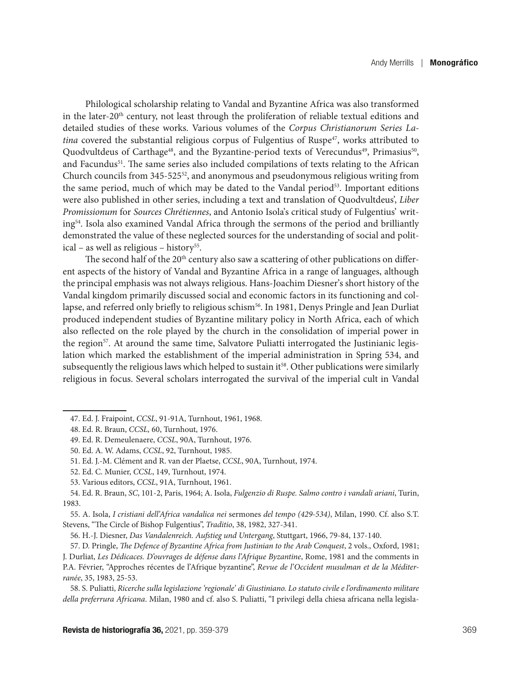Philological scholarship relating to Vandal and Byzantine Africa was also transformed in the later-20<sup>th</sup> century, not least through the proliferation of reliable textual editions and detailed studies of these works. Various volumes of the *Corpus Christianorum Series Latina* covered the substantial religious corpus of Fulgentius of Ruspe<sup>47</sup>, works attributed to Quodvultdeus of Carthage<sup>48</sup>, and the Byzantine-period texts of Verecundus<sup>49</sup>, Primasius<sup>50</sup>, and Facundus<sup>51</sup>. The same series also included compilations of texts relating to the African Church councils from 345-52552, and anonymous and pseudonymous religious writing from the same period, much of which may be dated to the Vandal period $53$ . Important editions were also published in other series, including a text and translation of Quodvultdeus', *Liber Promissionum* for *Sources Chrétiennes*, and Antonio Isola's critical study of Fulgentius' writing54. Isola also examined Vandal Africa through the sermons of the period and brilliantly demonstrated the value of these neglected sources for the understanding of social and political – as well as religious – history<sup>55</sup>.

The second half of the  $20<sup>th</sup>$  century also saw a scattering of other publications on different aspects of the history of Vandal and Byzantine Africa in a range of languages, although the principal emphasis was not always religious. Hans-Joachim Diesner's short history of the Vandal kingdom primarily discussed social and economic factors in its functioning and collapse, and referred only briefly to religious schism<sup>56</sup>. In 1981, Denys Pringle and Jean Durliat produced independent studies of Byzantine military policy in North Africa, each of which also reflected on the role played by the church in the consolidation of imperial power in the region<sup>57</sup>. At around the same time, Salvatore Puliatti interrogated the Justinianic legislation which marked the establishment of the imperial administration in Spring 534, and subsequently the religious laws which helped to sustain  $it s$ . Other publications were similarly religious in focus. Several scholars interrogated the survival of the imperial cult in Vandal

55. A. Isola, *I cristiani dell'Africa vandalica nei* sermones *del tempo (429-534)*, Milan, 1990. Cf. also S.T. Stevens, "The Circle of Bishop Fulgentius", *Traditio*, 38, 1982, 327-341.

56. H.-J. Diesner, *Das Vandalenreich. Aufstieg und Untergang*, Stuttgart, 1966, 79-84, 137-140.

57. D. Pringle, *The Defence of Byzantine Africa from Justinian to the Arab Conquest*, 2 vols., Oxford, 1981;

J. Durliat, *Les Dédicaces. D'ouvrages de défense dans l'Afrique Byzantine*, Rome, 1981 and the comments in P.A. Février, "Approches récentes de l'Afrique byzantine", *Revue de l'Occident musulman et de la Méditerranée*, 35, 1983, 25-53.

58. S. Puliatti, *Ricerche sulla legislazione 'regionale' di Giustiniano. Lo statuto civile e l'ordinamento militare della preferrura Africana*. Milan, 1980 and cf. also S. Puliatti, "I privilegi della chiesa africana nella legisla-

<sup>47.</sup> Ed. J. Fraipoint, *CCSL*, 91-91A, Turnhout, 1961, 1968.

<sup>48.</sup> Ed. R. Braun, *CCSL,* 60, Turnhout, 1976.

<sup>49.</sup> Ed. R. Demeulenaere, *CCSL*, 90A, Turnhout, 1976.

<sup>50.</sup> Ed. A. W. Adams, *CCSL*, 92, Turnhout, 1985.

<sup>51.</sup> Ed. J.-M. Clément and R. van der Plaetse, *CCSL*, 90A, Turnhout, 1974.

<sup>52.</sup> Ed. C. Munier, *CCSL*, 149, Turnhout, 1974.

<sup>53.</sup> Various editors, *CCSL*, 91A, Turnhout, 1961.

<sup>54.</sup> Ed. R. Braun, *SC*, 101-2, Paris, 1964; A. Isola, *Fulgenzio di Ruspe. Salmo contro i vandali ariani*, Turin, 1983.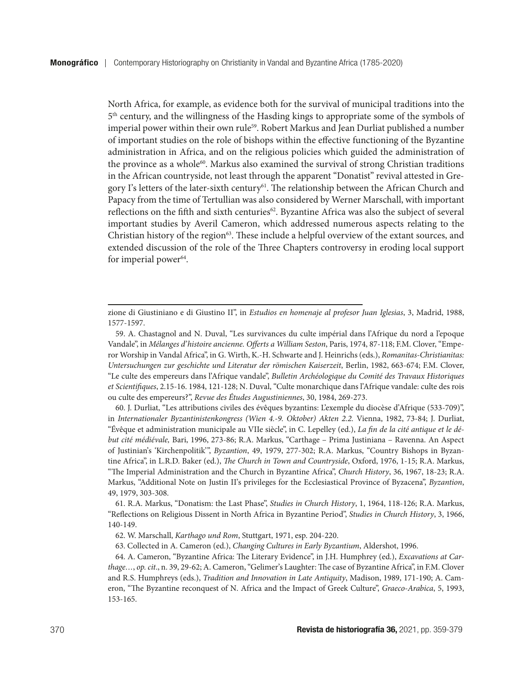North Africa, for example, as evidence both for the survival of municipal traditions into the 5th century, and the willingness of the Hasding kings to appropriate some of the symbols of imperial power within their own rule<sup>59</sup>. Robert Markus and Jean Durliat published a number of important studies on the role of bishops within the effective functioning of the Byzantine administration in Africa, and on the religious policies which guided the administration of the province as a whole<sup>60</sup>. Markus also examined the survival of strong Christian traditions in the African countryside, not least through the apparent "Donatist" revival attested in Gregory I's letters of the later-sixth century<sup>61</sup>. The relationship between the African Church and Papacy from the time of Tertullian was also considered by Werner Marschall, with important reflections on the fifth and sixth centuries<sup>62</sup>. Byzantine Africa was also the subject of several important studies by Averil Cameron, which addressed numerous aspects relating to the Christian history of the region<sup>63</sup>. These include a helpful overview of the extant sources, and extended discussion of the role of the Three Chapters controversy in eroding local support for imperial power $64$ .

60. J. Durliat, "Les attributions civiles des évêques byzantins: L'exemple du diocèse d'Afrique (533-709)", in *Internationaler Byzantinistenkongress (Wien 4.-9. Oktober) Akten 2.2.* Vienna, 1982, 73-84; J. Durliat, "Évêque et administration municipale au VIIe siècle", in C. Lepelley (ed.), *La fin de la cité antique et le début cité médiévale,* Bari, 1996, 273-86; R.A. Markus, "Carthage – Prima Justiniana – Ravenna. An Aspect of Justinian's 'Kirchenpolitik'", *Byzantion*, 49, 1979, 277-302; R.A. Markus, "Country Bishops in Byzantine Africa", in L.R.D. Baker (ed.), *The Church in Town and Countryside*, Oxford, 1976, 1-15; R.A. Markus, "The Imperial Administration and the Church in Byzantine Africa", *Church History*, 36, 1967, 18-23; R.A. Markus, "Additional Note on Justin II's privileges for the Ecclesiastical Province of Byzacena", *Byzantion*, 49, 1979, 303-308.

61. R.A. Markus, "Donatism: the Last Phase", *Studies in Church History*, 1, 1964, 118-126; R.A. Markus, "Reflections on Religious Dissent in North Africa in Byzantine Period", *Studies in Church History*, 3, 1966, 140-149.

63. Collected in A. Cameron (ed.), *Changing Cultures in Early Byzantium*, Aldershot, 1996.

64. A. Cameron, "Byzantine Africa: The Literary Evidence", in J.H. Humphrey (ed.), *Excavations at Carthage…*, *op. cit*., n. 39, 29-62; A. Cameron, "Gelimer's Laughter: The case of Byzantine Africa", in F.M. Clover and R.S. Humphreys (eds.), *Tradition and Innovation in Late Antiquity*, Madison, 1989, 171-190; A. Cameron, "The Byzantine reconquest of N. Africa and the Impact of Greek Culture", *Graeco-Arabica*, 5, 1993, 153-165.

zione di Giustiniano e di Giustino II", in *Estudios en homenaje al profesor Juan Iglesias*, 3, Madrid, 1988, 1577-1597.

<sup>59.</sup> A. Chastagnol and N. Duval, "Les survivances du culte impérial dans l'Afrique du nord a l'epoque Vandale", in *Mélanges d'histoire ancienne. Offerts a William Seston*, Paris, 1974, 87-118; F.M. Clover, "Emperor Worship in Vandal Africa", in G. Wirth, K.-H. Schwarte and J. Heinrichs (eds.), *Romanitas-Christianitas: Untersuchungen zur geschichte und Literatur der römischen Kaiserzeit*, Berlin, 1982, 663-674; F.M. Clover, "Le culte des empereurs dans l'Afrique vandale", *Bulletin Archéologique du Comité des Travaux Historiques et Scientifiques*, 2.15-16. 1984, 121-128; N. Duval, "Culte monarchique dans l'Afrique vandale: culte des rois ou culte des empereurs?", *Revue des Études Augustiniennes*, 30, 1984, 269-273.

<sup>62.</sup> W. Marschall, *Karthago und Rom*, Stuttgart, 1971, esp. 204-220.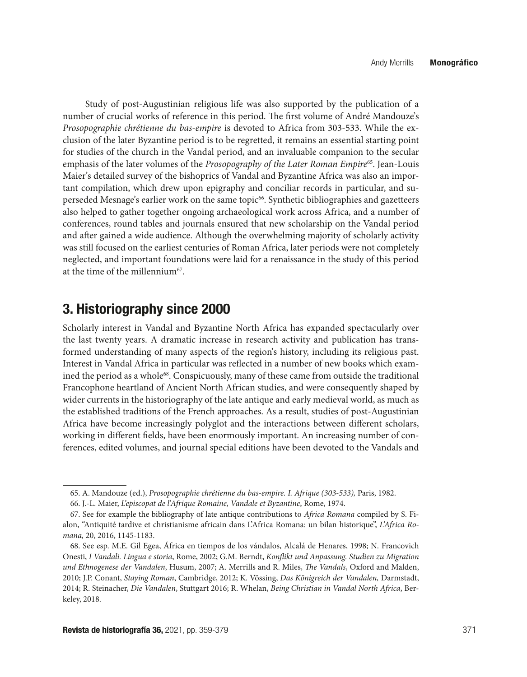Study of post-Augustinian religious life was also supported by the publication of a number of crucial works of reference in this period. The first volume of André Mandouze's *Prosopographie chrétienne du bas-empire* is devoted to Africa from 303-533. While the exclusion of the later Byzantine period is to be regretted, it remains an essential starting point for studies of the church in the Vandal period, and an invaluable companion to the secular emphasis of the later volumes of the *Prosopography of the Later Roman Empire*65. Jean-Louis Maier's detailed survey of the bishoprics of Vandal and Byzantine Africa was also an important compilation, which drew upon epigraphy and conciliar records in particular, and superseded Mesnage's earlier work on the same topic66. Synthetic bibliographies and gazetteers also helped to gather together ongoing archaeological work across Africa, and a number of conferences, round tables and journals ensured that new scholarship on the Vandal period and after gained a wide audience. Although the overwhelming majority of scholarly activity was still focused on the earliest centuries of Roman Africa, later periods were not completely neglected, and important foundations were laid for a renaissance in the study of this period at the time of the millennium $67$ .

## 3. Historiography since 2000

Scholarly interest in Vandal and Byzantine North Africa has expanded spectacularly over the last twenty years. A dramatic increase in research activity and publication has transformed understanding of many aspects of the region's history, including its religious past. Interest in Vandal Africa in particular was reflected in a number of new books which examined the period as a whole<sup>68</sup>. Conspicuously, many of these came from outside the traditional Francophone heartland of Ancient North African studies, and were consequently shaped by wider currents in the historiography of the late antique and early medieval world, as much as the established traditions of the French approaches. As a result, studies of post-Augustinian Africa have become increasingly polyglot and the interactions between different scholars, working in different fields, have been enormously important. An increasing number of conferences, edited volumes, and journal special editions have been devoted to the Vandals and

<sup>65.</sup> A. Mandouze (ed.), *Prosopographie chrétienne du bas-empire. I. Afrique (303-533),* Paris, 1982.

<sup>66.</sup> J.-L. Maier, *L'episcopat de l'Afrique Romaine, Vandale et Byzantine*, Rome, 1974.

<sup>67.</sup> See for example the bibliography of late antique contributions to *Africa Romana* compiled by S. Fialon, "Antiquité tardive et christianisme africain dans L'Africa Romana: un bilan historique", *L'Africa Romana,* 20, 2016, 1145-1183.

<sup>68.</sup> See esp. M.E. Gil Egea, África en tiempos de los vándalos, Alcalá de Henares, 1998; N. Francovich Onesti, *I Vandali. Lingua e storia*, Rome, 2002; G.M. Berndt, *Konflikt und Anpassung. Studien zu Migration und Ethnogenese der Vandalen*, Husum, 2007; A. Merrills and R. Miles, *The Vandals*, Oxford and Malden, 2010; J.P. Conant, *Staying Roman*, Cambridge, 2012; K. Vössing, *Das Königreich der Vandalen,* Darmstadt, 2014; R. Steinacher, *Die Vandalen*, Stuttgart 2016; R. Whelan, *Being Christian in Vandal North Africa*, Berkeley, 2018.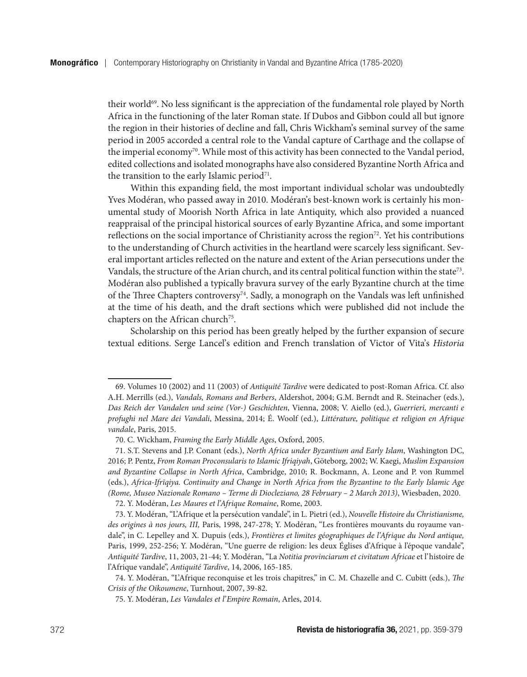their world<sup>69</sup>. No less significant is the appreciation of the fundamental role played by North Africa in the functioning of the later Roman state. If Dubos and Gibbon could all but ignore the region in their histories of decline and fall, Chris Wickham's seminal survey of the same period in 2005 accorded a central role to the Vandal capture of Carthage and the collapse of the imperial economy<sup>70</sup>. While most of this activity has been connected to the Vandal period, edited collections and isolated monographs have also considered Byzantine North Africa and the transition to the early Islamic period<sup>71</sup>.

Within this expanding field, the most important individual scholar was undoubtedly Yves Modéran, who passed away in 2010. Modéran's best-known work is certainly his monumental study of Moorish North Africa in late Antiquity, which also provided a nuanced reappraisal of the principal historical sources of early Byzantine Africa, and some important reflections on the social importance of Christianity across the region72. Yet his contributions to the understanding of Church activities in the heartland were scarcely less significant. Several important articles reflected on the nature and extent of the Arian persecutions under the Vandals, the structure of the Arian church, and its central political function within the state<sup>73</sup>. Modéran also published a typically bravura survey of the early Byzantine church at the time of the Three Chapters controversy74. Sadly, a monograph on the Vandals was left unfinished at the time of his death, and the draft sections which were published did not include the chapters on the African church<sup>75</sup>.

Scholarship on this period has been greatly helped by the further expansion of secure textual editions. Serge Lancel's edition and French translation of Victor of Vita's *Historia* 

<sup>69.</sup> Volumes 10 (2002) and 11 (2003) of *Antiquité Tardive* were dedicated to post-Roman Africa. Cf. also A.H. Merrills (ed.), *Vandals, Romans and Berbers*, Aldershot, 2004; G.M. Berndt and R. Steinacher (eds.), *Das Reich der Vandalen und seine (Vor-) Geschichten*, Vienna, 2008; V. Aiello (ed.), *Guerrieri, mercanti e profughi nel Mare dei Vandali*, Messina, 2014; É. Woolf (ed.), *Littérature, politique et religion en Afrique vandale*, Paris, 2015.

<sup>70.</sup> C. Wickham, *Framing the Early Middle Ages*, Oxford, 2005.

<sup>71.</sup> S.T. Stevens and J.P. Conant (eds.), *North Africa under Byzantium and Early Islam*, Washington DC, 2016; P. Pentz, *From Roman Proconsularis to Islamic Ifriqiyah*, Göteborg, 2002; W. Kaegi, *Muslim Expansion and Byzantine Collapse in North Africa*, Cambridge, 2010; R. Bockmann, A. Leone and P. von Rummel (eds.), *Africa-Ifrīqiya. Continuity and Change in North Africa from the Byzantine to the Early Islamic Age (Rome, Museo Nazionale Romano – Terme di Diocleziano, 28 February – 2 March 2013)*, Wiesbaden, 2020.

<sup>72.</sup> Y. Modéran, *Les Maures et l'Afrique Romaine*, Rome, 2003.

<sup>73.</sup> Y. Modéran, "L'Afrique et la persécution vandale", in L. Pietri (ed.), *Nouvelle Histoire du Christianisme, des origines à nos jours, III,* Paris, 1998, 247-278; Y. Modéran, "Les frontières mouvants du royaume vandale", in C. Lepelley and X. Dupuis (eds.), *Frontières et limites géographiques de l'Afrique du Nord antique,*  Paris, 1999, 252-256; Y. Modéran, "Une guerre de religion: les deux Églises d'Afrique à l'époque vandale", *Antiquité Tardive*, 11, 2003, 21-44; Y. Modéran, "La *Notitia provinciarum et civitatum Africae* et l'histoire de l'Afrique vandale", *Antiquité Tardive*, 14, 2006, 165-185.

<sup>74.</sup> Y. Modéran, "L'Afrique reconquise et les trois chapitres," in C. M. Chazelle and C. Cubitt (eds.), *The Crisis of the Oikoumene*, Turnhout, 2007, 39-82.

<sup>75.</sup> Y. Modéran, *Les Vandales et l'Empire Romain*, Arles, 2014.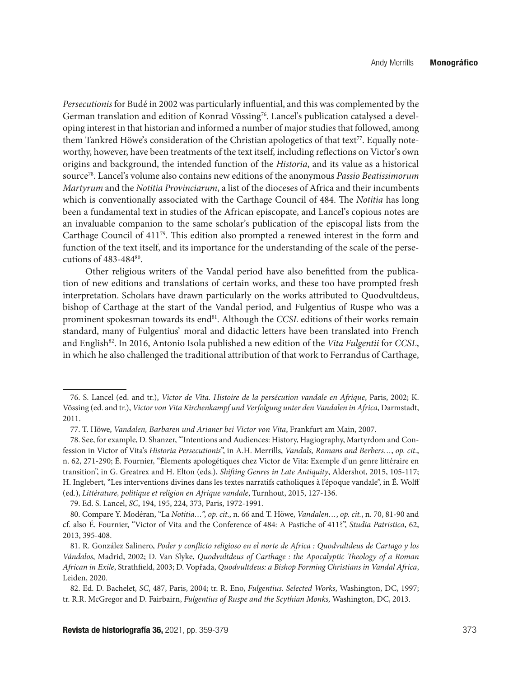*Persecutionis* for Budé in 2002 was particularly influential, and this was complemented by the German translation and edition of Konrad Vössing<sup>76</sup>. Lancel's publication catalysed a developing interest in that historian and informed a number of major studies that followed, among them Tankred Höwe's consideration of the Christian apologetics of that text<sup>77</sup>. Equally noteworthy, however, have been treatments of the text itself, including reflections on Victor's own origins and background, the intended function of the *Historia*, and its value as a historical source78. Lancel's volume also contains new editions of the anonymous *Passio Beatissimorum Martyrum* and the *Notitia Provinciarum*, a list of the dioceses of Africa and their incumbents which is conventionally associated with the Carthage Council of 484. The *Notitia* has long been a fundamental text in studies of the African episcopate, and Lancel's copious notes are an invaluable companion to the same scholar's publication of the episcopal lists from the Carthage Council of 41179. This edition also prompted a renewed interest in the form and function of the text itself, and its importance for the understanding of the scale of the persecutions of 483-48480.

Other religious writers of the Vandal period have also benefitted from the publication of new editions and translations of certain works, and these too have prompted fresh interpretation. Scholars have drawn particularly on the works attributed to Quodvultdeus, bishop of Carthage at the start of the Vandal period, and Fulgentius of Ruspe who was a prominent spokesman towards its end<sup>81</sup>. Although the *CCSL* editions of their works remain standard, many of Fulgentius' moral and didactic letters have been translated into French and English82. In 2016, Antonio Isola published a new edition of the *Vita Fulgentii* for *CCSL*, in which he also challenged the traditional attribution of that work to Ferrandus of Carthage,

79. Ed. S. Lancel, *SC*, 194, 195, 224, 373, Paris, 1972-1991.

<sup>76.</sup> S. Lancel (ed. and tr.), *Victor de Vita. Histoire de la persécution vandale en Afrique*, Paris, 2002; K. Vössing (ed. and tr.), *Victor von Vita Kirchenkampf und Verfolgung unter den Vandalen in Africa*, Darmstadt, 2011.

<sup>77.</sup> T. Höwe, *Vandalen, Barbaren und Arianer bei Victor von Vita*, Frankfurt am Main, 2007.

<sup>78.</sup> See, for example, D. Shanzer, "'Intentions and Audiences: History, Hagiography, Martyrdom and Confession in Victor of Vita's *Historia Persecutionis*", in A.H. Merrills, *Vandals, Romans and Berbers…*, *op. cit*., n. 62, 271-290; É. Fournier, "Élements apologétiques chez Victor de Vita: Exemple d'un genre littéraire en transition", in G. Greatrex and H. Elton (eds.), *Shifting Genres in Late Antiquity*, Aldershot, 2015, 105-117; H. Inglebert, "Les interventions divines dans les textes narratifs catholiques à l'époque vandale", in É. Wolff (ed.), *Littérature, politique et religion en Afrique vandale*, Turnhout, 2015, 127-136.

<sup>80.</sup> Compare Y. Modéran, "La *Notitia…*", *op. cit*., n. 66 and T. Höwe, *Vandalen…*, *op. cit.*, n. 70, 81-90 and cf. also É. Fournier, "Victor of Vita and the Conference of 484: A Pastiche of 411?", *Studia Patristica*, 62, 2013, 395-408.

<sup>81.</sup> R. González Salinero, *Poder y conflicto religioso en el norte de Africa : Quodvultdeus de Cartago y los Vándalos*, Madrid, 2002; D. Van Slyke, *Quodvultdeus of Carthage : the Apocalyptic Theology of a Roman African in Exile*, Strathfield, 2003; D. Vopřada, *Quodvultdeus: a Bishop Forming Christians in Vandal Africa*, Leiden, 2020.

<sup>82.</sup> Ed. D. Bachelet, *SC*, 487, Paris, 2004; tr. R. Eno, *Fulgentius. Selected Works*, Washington, DC, 1997; tr. R.R. McGregor and D. Fairbairn, *Fulgentius of Ruspe and the Scythian Monks,* Washington, DC, 2013.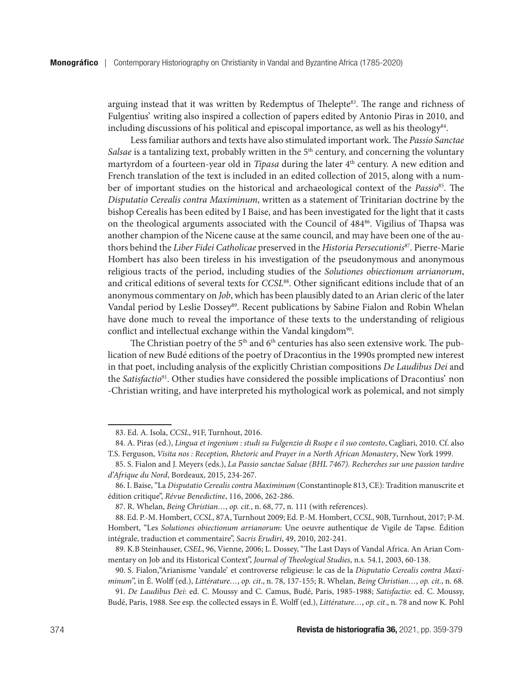arguing instead that it was written by Redemptus of Thelepte<sup>83</sup>. The range and richness of Fulgentius' writing also inspired a collection of papers edited by Antonio Piras in 2010, and including discussions of his political and episcopal importance, as well as his theology $84$ .

Less familiar authors and texts have also stimulated important work. The *Passio Sanctae Salsae* is a tantalizing text, probably written in the 5<sup>th</sup> century, and concerning the voluntary martyrdom of a fourteen-year old in *Tipasa* during the later 4<sup>th</sup> century. A new edition and French translation of the text is included in an edited collection of 2015, along with a number of important studies on the historical and archaeological context of the *Passio*85. The *Disputatio Cerealis contra Maximinum*, written as a statement of Trinitarian doctrine by the bishop Cerealis has been edited by I Baise, and has been investigated for the light that it casts on the theological arguments associated with the Council of 484<sup>86</sup>. Vigilius of Thapsa was another champion of the Nicene cause at the same council, and may have been one of the authors behind the *Liber Fidei Catholicae* preserved in the *Historia Persecutionis*87. Pierre-Marie Hombert has also been tireless in his investigation of the pseudonymous and anonymous religious tracts of the period, including studies of the *Solutiones obiectionum arrianorum*, and critical editions of several texts for *CCSL*88. Other significant editions include that of an anonymous commentary on *Job*, which has been plausibly dated to an Arian cleric of the later Vandal period by Leslie Dossey<sup>89</sup>. Recent publications by Sabine Fialon and Robin Whelan have done much to reveal the importance of these texts to the understanding of religious conflict and intellectual exchange within the Vandal kingdom<sup>90</sup>.

The Christian poetry of the 5<sup>th</sup> and 6<sup>th</sup> centuries has also seen extensive work. The publication of new Budé editions of the poetry of Dracontius in the 1990s prompted new interest in that poet, including analysis of the explicitly Christian compositions *De Laudibus Dei* and the *Satisfactio*91. Other studies have considered the possible implications of Dracontius' non -Christian writing, and have interpreted his mythological work as polemical, and not simply

<sup>83.</sup> Ed. A. Isola, *CCSL*, 91F, Turnhout, 2016.

<sup>84.</sup> A. Piras (ed.), *Lingua et ingenium : studi su Fulgenzio di Ruspe e il suo contesto*, Cagliari, 2010. Cf. also T.S. Ferguson, *Visita nos : Reception, Rhetoric and Prayer in a North African Monastery*, New York 1999.

<sup>85.</sup> S. Fialon and J. Meyers (eds.), *La Passio sanctae Salsae (BHL 7467). Recherches sur une passion tardive d'Afrique du Nord*, Bordeaux, 2015, 234-267.

<sup>86.</sup> I. Baise, "La *Disputatio Cerealis contra Maximinum* (Constantinople 813, CE): Tradition manuscrite et édition critique", *Révue Benedictine*, 116, 2006, 262-286.

<sup>87.</sup> R. Whelan, *Being Christian…*, *op. cit.*, n. 68, 77, n. 111 (with references).

<sup>88.</sup> Ed. P.-M. Hombert, *CCSL*, 87A, Turnhout 2009; Ed. P.-M. Hombert, *CCSL*, 90B, Turnhout, 2017; P-M. Hombert, "Les *Solutiones obiectionum arrianorum*: Une oeuvre authentique de Vigile de Tapse. Édition intégrale, traduction et commentaire", *Sacris Erudiri*, 49, 2010, 202-241.

<sup>89.</sup> K.B Steinhauser, *CSEL*, 96, Vienne, 2006; L. Dossey, "The Last Days of Vandal Africa. An Arian Commentary on Job and its Historical Context", *Journal of Theological Studies*, n.s. 54.1, 2003, 60-138.

<sup>90.</sup> S. Fialon,"Arianisme 'vandale' et controverse religieuse: le cas de la *Disputatio Cerealis contra Maximinum*", in É. Wolff (ed.), *Littérature…*, *op. cit*., n. 78, 137-155; R. Whelan, *Being Christian…*, *op. cit.*, n. 68.

<sup>91.</sup> *De Laudibus Dei*: ed. C. Moussy and C. Camus, Budé, Paris, 1985-1988; *Satisfactio*: ed. C. Moussy, Budé, Paris, 1988. See esp. the collected essays in É. Wolff (ed.), *Littérature…*, *op. cit*., n. 78 and now K. Pohl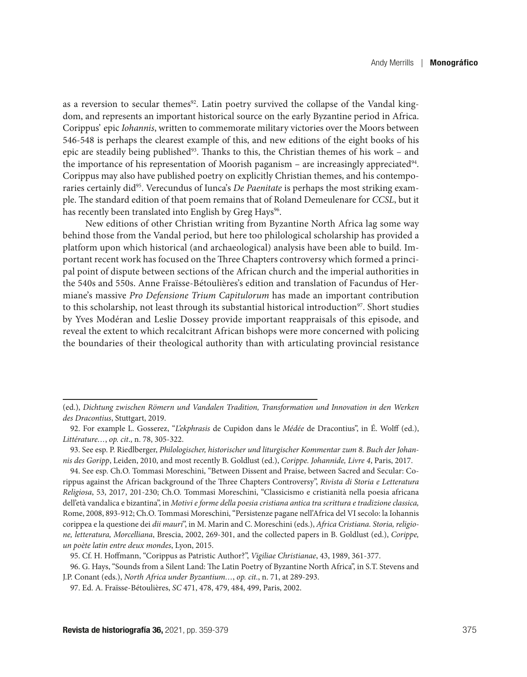as a reversion to secular themes<sup>92</sup>. Latin poetry survived the collapse of the Vandal kingdom, and represents an important historical source on the early Byzantine period in Africa. Corippus' epic *Iohannis*, written to commemorate military victories over the Moors between 546-548 is perhaps the clearest example of this, and new editions of the eight books of his epic are steadily being published<sup>93</sup>. Thanks to this, the Christian themes of his work – and the importance of his representation of Moorish paganism – are increasingly appreciated $94$ . Corippus may also have published poetry on explicitly Christian themes, and his contemporaries certainly did95. Verecundus of Iunca's *De Paenitate* is perhaps the most striking example. The standard edition of that poem remains that of Roland Demeulenare for *CCSL*, but it has recently been translated into English by Greg Hays<sup>96</sup>.

New editions of other Christian writing from Byzantine North Africa lag some way behind those from the Vandal period, but here too philological scholarship has provided a platform upon which historical (and archaeological) analysis have been able to build. Important recent work has focused on the Three Chapters controversy which formed a principal point of dispute between sections of the African church and the imperial authorities in the 540s and 550s. Anne Fraïsse-Bétoulières's edition and translation of Facundus of Hermiane's massive *Pro Defensione Trium Capitulorum* has made an important contribution to this scholarship, not least through its substantial historical introduction<sup>97</sup>. Short studies by Yves Modéran and Leslie Dossey provide important reappraisals of this episode, and reveal the extent to which recalcitrant African bishops were more concerned with policing the boundaries of their theological authority than with articulating provincial resistance

<sup>(</sup>ed.), *Dichtung zwischen Römern und Vandalen Tradition, Transformation und Innovation in den Werken des Dracontius*, Stuttgart, 2019.

<sup>92.</sup> For example L. Gosserez, "*L'ekphrasis* de Cupidon dans le *Médée* de Dracontius", in É. Wolff (ed.), *Littérature…*, *op. cit*., n. 78, 305-322.

<sup>93.</sup> See esp. P. Riedlberger, *Philologischer, historischer und liturgischer Kommentar zum 8. Buch der Johannis des Goripp*, Leiden, 2010, and most recently B. Goldlust (ed.), *Corippe. Johannide, Livre 4*, Paris, 2017.

<sup>94.</sup> See esp. Ch.O. Tommasi Moreschini, "Between Dissent and Praise, between Sacred and Secular: Corippus against the African background of the Three Chapters Controversy", *Rivista di Storia e Letteratura Religiosa*, 53, 2017, 201-230; Ch.O. Tommasi Moreschini, "Classicismo e cristianità nella poesia africana dell'età vandalica e bizantina", in *Motivi e forme della poesia cristiana antica tra scrittura e tradizione classica,*  Rome, 2008, 893-912; Ch.O. Tommasi Moreschini, "Persistenze pagane nell'Africa del VI secolo: la Iohannis corippea e la questione dei *dii mauri*", in M. Marin and C. Moreschini (eds.), *Africa Cristiana. Storia, religione, letteratura, Morcelliana*, Brescia, 2002, 269-301, and the collected papers in B. Goldlust (ed.), *Corippe, un poète latin entre deux mondes*, Lyon, 2015.

<sup>95.</sup> Cf. H. Hoffmann, "Corippus as Patristic Author?", *Vigiliae Christianae*, 43, 1989, 361-377.

<sup>96.</sup> G. Hays, "Sounds from a Silent Land: The Latin Poetry of Byzantine North Africa", in S.T. Stevens and J.P. Conant (eds.), *North Africa under Byzantium…*, *op. cit.*, n. 71, at 289-293.

<sup>97.</sup> Ed. A. Fraïsse-Bétoulières, *SC* 471, 478, 479, 484, 499, Paris, 2002.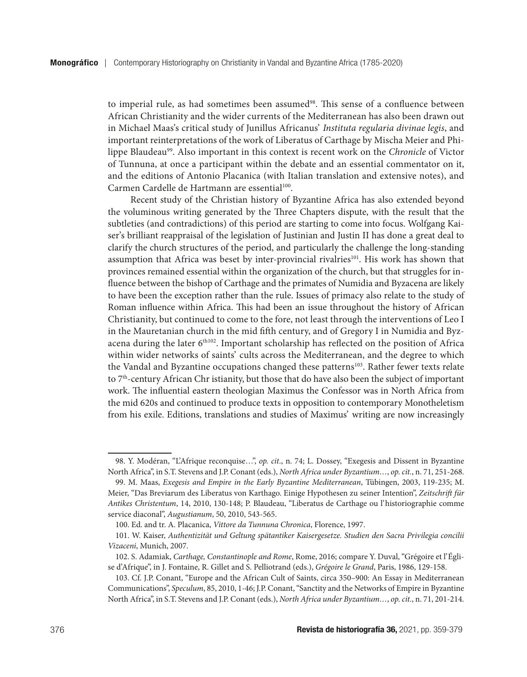to imperial rule, as had sometimes been assumed<sup>98</sup>. This sense of a confluence between African Christianity and the wider currents of the Mediterranean has also been drawn out in Michael Maas's critical study of Junillus Africanus' *Instituta regularia divinae legis*, and important reinterpretations of the work of Liberatus of Carthage by Mischa Meier and Philippe Blaudeau<sup>99</sup>. Also important in this context is recent work on the *Chronicle* of Victor of Tunnuna, at once a participant within the debate and an essential commentator on it, and the editions of Antonio Placanica (with Italian translation and extensive notes), and Carmen Cardelle de Hartmann are essential<sup>100</sup>.

Recent study of the Christian history of Byzantine Africa has also extended beyond the voluminous writing generated by the Three Chapters dispute, with the result that the subtleties (and contradictions) of this period are starting to come into focus. Wolfgang Kaiser's brilliant reappraisal of the legislation of Justinian and Justin II has done a great deal to clarify the church structures of the period, and particularly the challenge the long-standing assumption that Africa was beset by inter-provincial rivalries<sup>101</sup>. His work has shown that provinces remained essential within the organization of the church, but that struggles for influence between the bishop of Carthage and the primates of Numidia and Byzacena are likely to have been the exception rather than the rule. Issues of primacy also relate to the study of Roman influence within Africa. This had been an issue throughout the history of African Christianity, but continued to come to the fore, not least through the interventions of Leo I in the Mauretanian church in the mid fifth century, and of Gregory I in Numidia and Byzacena during the later 6<sup>th102</sup>. Important scholarship has reflected on the position of Africa within wider networks of saints' cults across the Mediterranean, and the degree to which the Vandal and Byzantine occupations changed these patterns103. Rather fewer texts relate to 7<sup>th</sup>-century African Chr istianity, but those that do have also been the subject of important work. The influential eastern theologian Maximus the Confessor was in North Africa from the mid 620s and continued to produce texts in opposition to contemporary Monotheletism from his exile. Editions, translations and studies of Maximus' writing are now increasingly

<sup>98.</sup> Y. Modéran, "L'Afrique reconquise…", *op. cit*., n. 74; L. Dossey, "Exegesis and Dissent in Byzantine North Africa", in S.T. Stevens and J.P. Conant (eds.), *North Africa under Byzantium…*, *op. cit.*, n. 71, 251-268.

<sup>99.</sup> M. Maas, *Exegesis and Empire in the Early Byzantine Mediterranean*, Tübingen, 2003, 119-235; M. Meier, "Das Breviarum des Liberatus von Karthago. Einige Hypothesen zu seiner Intention", *Zeitschrift für Antikes Christentum*, 14, 2010, 130-148; P. Blaudeau, "Liberatus de Carthage ou l'historiographie comme service diaconal", *Augustianum*, 50, 2010, 543-565.

<sup>100.</sup> Ed. and tr. A. Placanica, *Vittore da Tunnuna Chronica*, Florence, 1997.

<sup>101.</sup> W. Kaiser, *Authentizität und Geltung spätantiker Kaisergesetze. Studien den Sacra Privilegia concilii Vizaceni*, Munich, 2007.

<sup>102.</sup> S. Adamiak, *Carthage, Constantinople and Rome*, Rome, 2016; compare Y. Duval, "Grégoire et l'Église d'Afrique", in J. Fontaine, R. Gillet and S. Pelliotrand (eds.), *Grégoire le Grand*, Paris, 1986, 129-158.

<sup>103.</sup> Cf. J.P. Conant, "Europe and the African Cult of Saints, circa 350–900: An Essay in Mediterranean Communications", *Speculum*, 85, 2010, 1-46; J.P. Conant, "Sanctity and the Networks of Empire in Byzantine North Africa", in S.T. Stevens and J.P. Conant (eds.), *North Africa under Byzantium…*, *op. cit.*, n. 71, 201-214.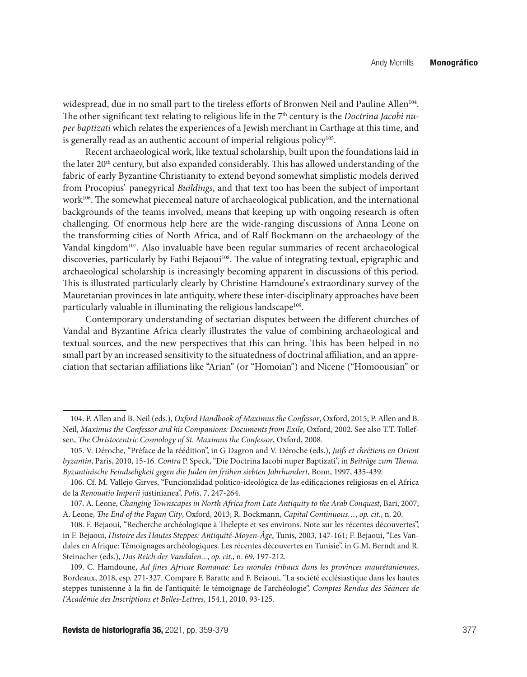widespread, due in no small part to the tireless efforts of Bronwen Neil and Pauline Allen<sup>104</sup>. The other significant text relating to religious life in the 7<sup>th</sup> century is the *Doctrina Jacobi nuper baptizati* which relates the experiences of a Jewish merchant in Carthage at this time, and is generally read as an authentic account of imperial religious policy $105$ .

Recent archaeological work, like textual scholarship, built upon the foundations laid in the later  $20<sup>th</sup>$  century, but also expanded considerably. This has allowed understanding of the fabric of early Byzantine Christianity to extend beyond somewhat simplistic models derived from Procopius' panegyrical *Buildings*, and that text too has been the subject of important work<sup>106</sup>. The somewhat piecemeal nature of archaeological publication, and the international backgrounds of the teams involved, means that keeping up with ongoing research is often challenging. Of enormous help here are the wide-ranging discussions of Anna Leone on the transforming cities of North Africa, and of Ralf Bockmann on the archaeology of the Vandal kingdom<sup>107</sup>. Also invaluable have been regular summaries of recent archaeological discoveries, particularly by Fathi Bejaoui<sup>108</sup>. The value of integrating textual, epigraphic and archaeological scholarship is increasingly becoming apparent in discussions of this period. This is illustrated particularly clearly by Christine Hamdoune's extraordinary survey of the Mauretanian provinces in late antiquity, where these inter-disciplinary approaches have been particularly valuable in illuminating the religious landscape<sup>109</sup>.

Contemporary understanding of sectarian disputes between the different churches of Vandal and Byzantine Africa clearly illustrates the value of combining archaeological and textual sources, and the new perspectives that this can bring. This has been helped in no small part by an increased sensitivity to the situatedness of doctrinal affiliation, and an appreciation that sectarian affiliations like "Arian" (or "Homoian") and Nicene ("Homoousian" or

<sup>104.</sup> P. Allen and B. Neil (eds.), *Oxford Handbook of Maximus the Confessor*, Oxford, 2015; P. Allen and B. Neil, *Maximus the Confessor and his Companions: Documents from Exile*, Oxford, 2002. See also T.T. Tollefsen, *The Christocentric Cosmology of St. Maximus the Confessor*, Oxford, 2008.

<sup>105.</sup> V. Déroche, "Préface de la réédition", in G Dagron and V. Déroche (eds.), *Juifs et chrétiens en Orient byzantin*, Paris, 2010, 15-16. *Contra* P. Speck, "Die Doctrina Iacobi nuper Baptizati", in *Beiträge zum Thema. Byzantinische Feindseligkeit gegen die Juden im frühen siebten Jahrhundert*, Bonn, 1997, 435-439.

<sup>106.</sup> Cf. M. Vallejo Girves, "Funcionalidad politico-ideológica de las edificaciones religiosas en el Africa de la *Renouatio Imperii* justinianea", *Polis*, 7, 247-264.

<sup>107.</sup> A. Leone, *Changing Townscapes in North Africa from Late Antiquity to the Arab Conquest*, Bari, 2007; A. Leone, *The End of the Pagan City*, Oxford, 2013; R. Bockmann, *Capital Continuous…*, *op. cit.*, n. 20.

<sup>108.</sup> F. Bejaoui, "Recherche archéologique à Thelepte et ses environs. Note sur les récentes découvertes", in F. Bejaoui, *Histoire des Hautes Steppes: Antiquité-Moyen-Âge*, Tunis, 2003, 147-161; F. Bejaoui, "Les Vandales en Afrique: Témoignages archéologiques. Les récentes découvertes en Tunisie", in G.M. Berndt and R. Steinacher (eds.), *Das Reich der Vandalen...*, *op. cit*., n. 69, 197-212.

<sup>109.</sup> C. Hamdoune, *Ad fines Africae Romanae: Les mondes tribaux dans les provinces maurétaniennes*, Bordeaux, 2018, esp. 271-327. Compare F. Baratte and F. Bejaoui, "La société ecclésiastique dans les hautes steppes tunisienne à la fin de l'antiquité: le témoignage de l'archéologie", *Comptes Rendus des Séances de l'Académie des Inscriptions et Belles-Lettres*, 154.1, 2010, 93-125.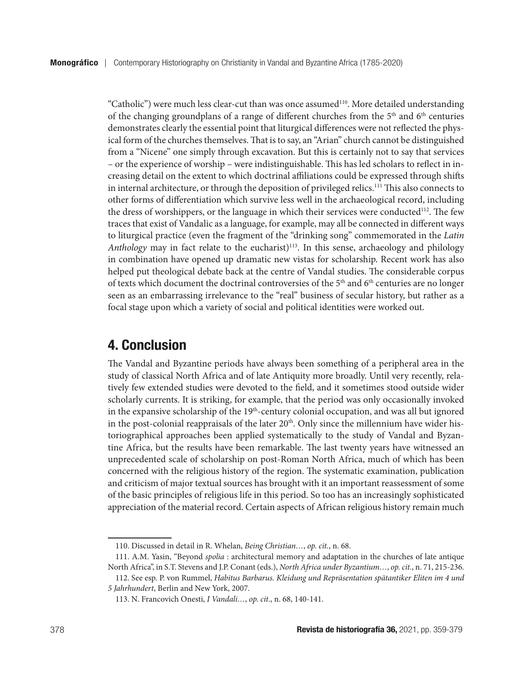"Catholic") were much less clear-cut than was once assumed<sup>110</sup>. More detailed understanding of the changing groundplans of a range of different churches from the 5<sup>th</sup> and 6<sup>th</sup> centuries demonstrates clearly the essential point that liturgical differences were not reflected the physical form of the churches themselves. That is to say, an "Arian" church cannot be distinguished from a "Nicene" one simply through excavation. But this is certainly not to say that services – or the experience of worship – were indistinguishable. This has led scholars to reflect in increasing detail on the extent to which doctrinal affiliations could be expressed through shifts in internal architecture, or through the deposition of privileged relics.111 This also connects to other forms of differentiation which survive less well in the archaeological record, including the dress of worshippers, or the language in which their services were conducted $112$ . The few traces that exist of Vandalic as a language, for example, may all be connected in different ways to liturgical practice (even the fragment of the "drinking song" commemorated in the *Latin Anthology* may in fact relate to the eucharist)<sup>113</sup>. In this sense, archaeology and philology in combination have opened up dramatic new vistas for scholarship. Recent work has also helped put theological debate back at the centre of Vandal studies. The considerable corpus of texts which document the doctrinal controversies of the  $5<sup>th</sup>$  and  $6<sup>th</sup>$  centuries are no longer seen as an embarrassing irrelevance to the "real" business of secular history, but rather as a focal stage upon which a variety of social and political identities were worked out.

#### 4. Conclusion

The Vandal and Byzantine periods have always been something of a peripheral area in the study of classical North Africa and of late Antiquity more broadly. Until very recently, relatively few extended studies were devoted to the field, and it sometimes stood outside wider scholarly currents. It is striking, for example, that the period was only occasionally invoked in the expansive scholarship of the 19<sup>th</sup>-century colonial occupation, and was all but ignored in the post-colonial reappraisals of the later  $20<sup>th</sup>$ . Only since the millennium have wider historiographical approaches been applied systematically to the study of Vandal and Byzantine Africa, but the results have been remarkable. The last twenty years have witnessed an unprecedented scale of scholarship on post-Roman North Africa, much of which has been concerned with the religious history of the region. The systematic examination, publication and criticism of major textual sources has brought with it an important reassessment of some of the basic principles of religious life in this period. So too has an increasingly sophisticated appreciation of the material record. Certain aspects of African religious history remain much

<sup>110.</sup> Discussed in detail in R. Whelan, *Being Christian…*, *op. cit.*, n. 68.

<sup>111.</sup> A.M. Yasin, "Beyond *spolia* : architectural memory and adaptation in the churches of late antique North Africa", in S.T. Stevens and J.P. Conant (eds.), *North Africa under Byzantium…*, *op. cit.*, n. 71, 215-236.

<sup>112.</sup> See esp. P. von Rummel, *Habitus Barbarus. Kleidung und Repräsentation spätantiker Eliten im 4 und 5 Jahrhundert*, Berlin and New York, 2007.

<sup>113.</sup> N. Francovich Onesti, *I Vandali…*, *op. cit*., n. 68, 140-141.